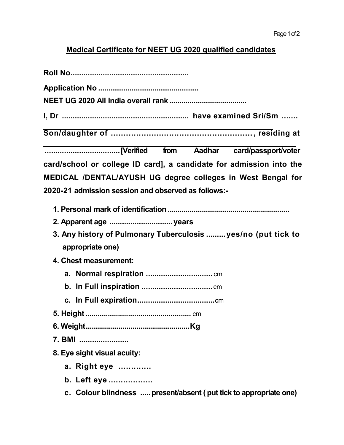## Medical Certificate for NEET UG 2020 qualified candidates

| card/school or college ID card], a candidate for admission into the |
|---------------------------------------------------------------------|
| MEDICAL /DENTAL/AYUSH UG degree colleges in West Bengal for         |
| 2020-21 admission session and observed as follows:-                 |
|                                                                     |
|                                                                     |
| 3. Any history of Pulmonary Tuberculosis  yes/no (put tick to       |
| appropriate one)                                                    |
| 4. Chest measurement:                                               |
|                                                                     |
|                                                                     |
|                                                                     |
|                                                                     |
|                                                                     |
| 7. BMI                                                              |
| 8. Eye sight visual acuity:                                         |
| a. Right eye                                                        |
| b. Left eye                                                         |
| c. Colour blindness  present/absent ( put tick to appropriate one)  |